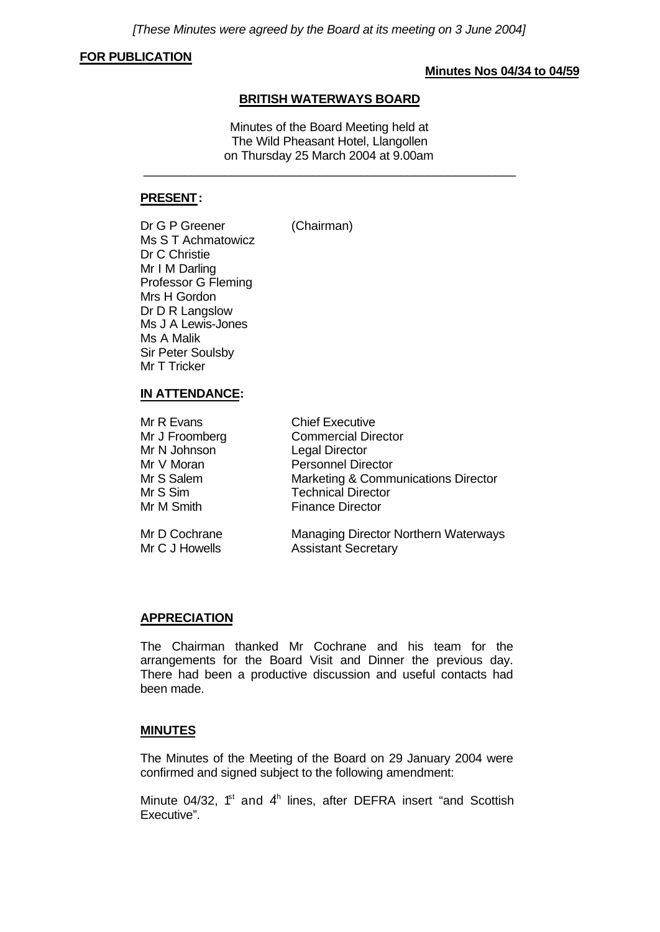*[These Minutes were agreed by the Board at its meeting on 3 June 2004]*

### **FOR PUBLICATION**

#### **Minutes Nos 04/34 to 04/59**

### **BRITISH WATERWAYS BOARD**

Minutes of the Board Meeting held at The Wild Pheasant Hotel, Llangollen on Thursday 25 March 2004 at 9.00am

\_\_\_\_\_\_\_\_\_\_\_\_\_\_\_\_\_\_\_\_\_\_\_\_\_\_\_\_\_\_\_\_\_\_\_\_\_\_\_\_\_\_\_\_\_\_\_\_\_\_\_\_\_\_\_

### **PRESENT:**

Dr G P Greener (Chairman)

Ms S T Achmatowicz Dr C Christie Mr I M Darling Professor G Fleming Mrs H Gordon Dr D R Langslow Ms J A Lewis-Jones Ms A Malik Sir Peter Soulsby Mr T Tricker

#### **IN ATTENDANCE:**

| Mr R Evans     | <b>Chief Executive</b>                      |
|----------------|---------------------------------------------|
| Mr J Froomberg | <b>Commercial Director</b>                  |
| Mr N Johnson   | <b>Legal Director</b>                       |
| Mr V Moran     | <b>Personnel Director</b>                   |
| Mr S Salem     | Marketing & Communications Director         |
| Mr S Sim       | <b>Technical Director</b>                   |
| Mr M Smith     | <b>Finance Director</b>                     |
| Mr D Cochrane  | <b>Managing Director Northern Waterways</b> |

Mr C J Howells **Assistant Secretary** 

### **APPRECIATION**

The Chairman thanked Mr Cochrane and his team for the arrangements for the Board Visit and Dinner the previous day. There had been a productive discussion and useful contacts had been made.

### **MINUTES**

The Minutes of the Meeting of the Board on 29 January 2004 were confirmed and signed subject to the following amendment:

Minute 04/32,  $f<sup>st</sup>$  and  $4<sup>h</sup>$  lines, after DEFRA insert "and Scottish Executive".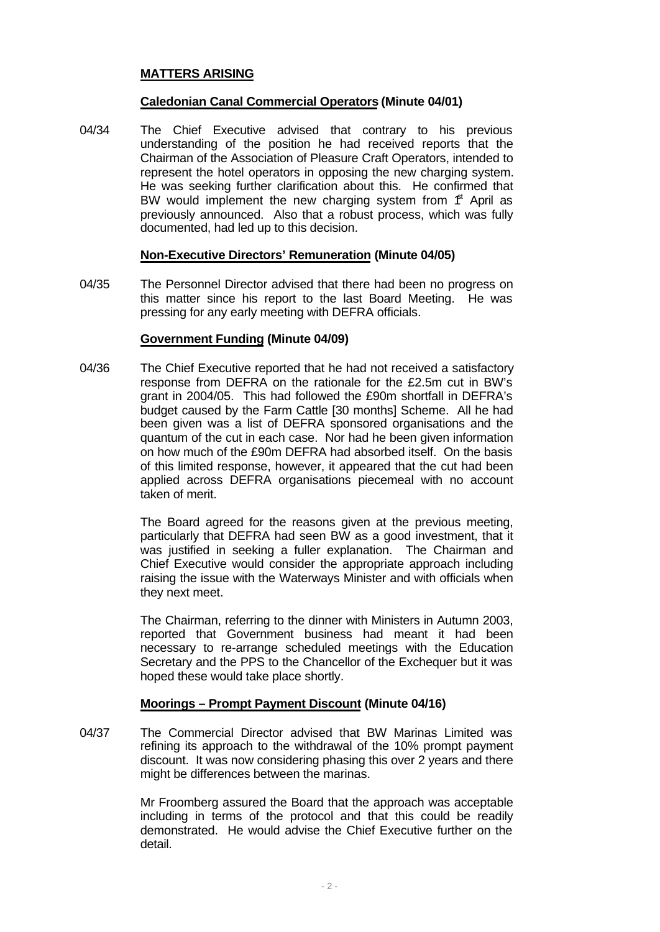## **MATTERS ARISING**

## **Caledonian Canal Commercial Operators (Minute 04/01)**

04/34 The Chief Executive advised that contrary to his previous understanding of the position he had received reports that the Chairman of the Association of Pleasure Craft Operators, intended to represent the hotel operators in opposing the new charging system. He was seeking further clarification about this. He confirmed that BW would implement the new charging system from  $f<sup>st</sup>$  April as previously announced. Also that a robust process, which was fully documented, had led up to this decision.

### **Non-Executive Directors' Remuneration (Minute 04/05)**

04/35 The Personnel Director advised that there had been no progress on this matter since his report to the last Board Meeting. He was pressing for any early meeting with DEFRA officials.

## **Government Funding (Minute 04/09)**

04/36 The Chief Executive reported that he had not received a satisfactory response from DEFRA on the rationale for the £2.5m cut in BW's grant in 2004/05. This had followed the £90m shortfall in DEFRA's budget caused by the Farm Cattle [30 months] Scheme. All he had been given was a list of DEFRA sponsored organisations and the quantum of the cut in each case. Nor had he been given information on how much of the £90m DEFRA had absorbed itself. On the basis of this limited response, however, it appeared that the cut had been applied across DEFRA organisations piecemeal with no account taken of merit.

> The Board agreed for the reasons given at the previous meeting, particularly that DEFRA had seen BW as a good investment, that it was justified in seeking a fuller explanation. The Chairman and Chief Executive would consider the appropriate approach including raising the issue with the Waterways Minister and with officials when they next meet.

> The Chairman, referring to the dinner with Ministers in Autumn 2003, reported that Government business had meant it had been necessary to re-arrange scheduled meetings with the Education Secretary and the PPS to the Chancellor of the Exchequer but it was hoped these would take place shortly.

### **Moorings – Prompt Payment Discount (Minute 04/16)**

04/37 The Commercial Director advised that BW Marinas Limited was refining its approach to the withdrawal of the 10% prompt payment discount. It was now considering phasing this over 2 years and there might be differences between the marinas.

> Mr Froomberg assured the Board that the approach was acceptable including in terms of the protocol and that this could be readily demonstrated. He would advise the Chief Executive further on the detail.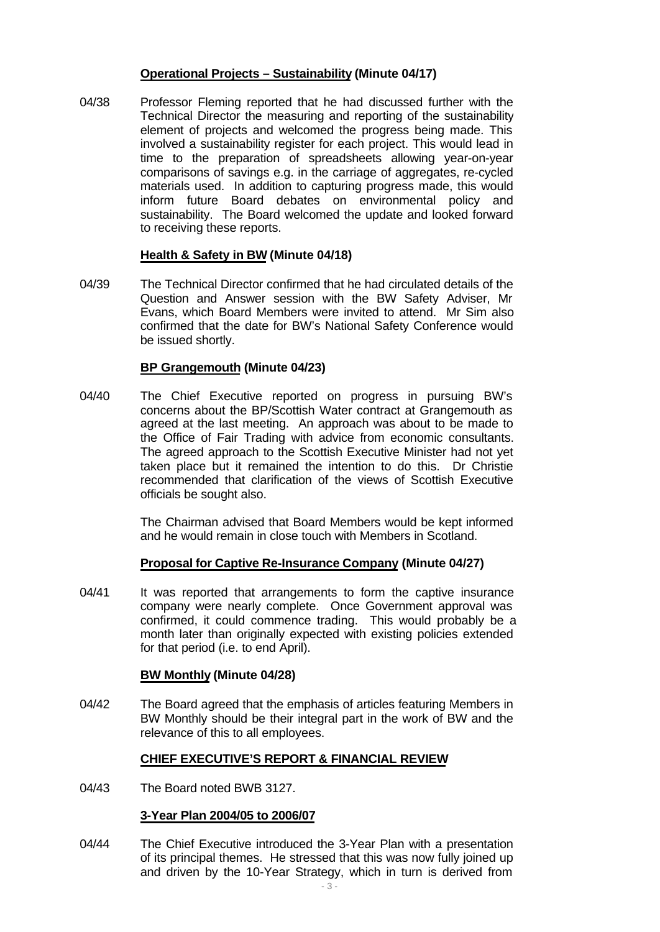## **Operational Projects – Sustainability (Minute 04/17)**

04/38 Professor Fleming reported that he had discussed further with the Technical Director the measuring and reporting of the sustainability element of projects and welcomed the progress being made. This involved a sustainability register for each project. This would lead in time to the preparation of spreadsheets allowing year-on-year comparisons of savings e.g. in the carriage of aggregates, re-cycled materials used. In addition to capturing progress made, this would inform future Board debates on environmental policy and sustainability. The Board welcomed the update and looked forward to receiving these reports.

### **Health & Safety in BW (Minute 04/18)**

04/39 The Technical Director confirmed that he had circulated details of the Question and Answer session with the BW Safety Adviser, Mr Evans, which Board Members were invited to attend. Mr Sim also confirmed that the date for BW's National Safety Conference would be issued shortly.

### **BP Grangemouth (Minute 04/23)**

04/40 The Chief Executive reported on progress in pursuing BW's concerns about the BP/Scottish Water contract at Grangemouth as agreed at the last meeting. An approach was about to be made to the Office of Fair Trading with advice from economic consultants. The agreed approach to the Scottish Executive Minister had not yet taken place but it remained the intention to do this. Dr Christie recommended that clarification of the views of Scottish Executive officials be sought also.

> The Chairman advised that Board Members would be kept informed and he would remain in close touch with Members in Scotland.

## **Proposal for Captive Re-Insurance Company (Minute 04/27)**

04/41 It was reported that arrangements to form the captive insurance company were nearly complete. Once Government approval was confirmed, it could commence trading. This would probably be a month later than originally expected with existing policies extended for that period (i.e. to end April).

## **BW Monthly (Minute 04/28)**

04/42 The Board agreed that the emphasis of articles featuring Members in BW Monthly should be their integral part in the work of BW and the relevance of this to all employees.

## **CHIEF EXECUTIVE'S REPORT & FINANCIAL REVIEW**

04/43 The Board noted BWB 3127.

### **3-Year Plan 2004/05 to 2006/07**

04/44 The Chief Executive introduced the 3-Year Plan with a presentation of its principal themes. He stressed that this was now fully joined up and driven by the 10-Year Strategy, which in turn is derived from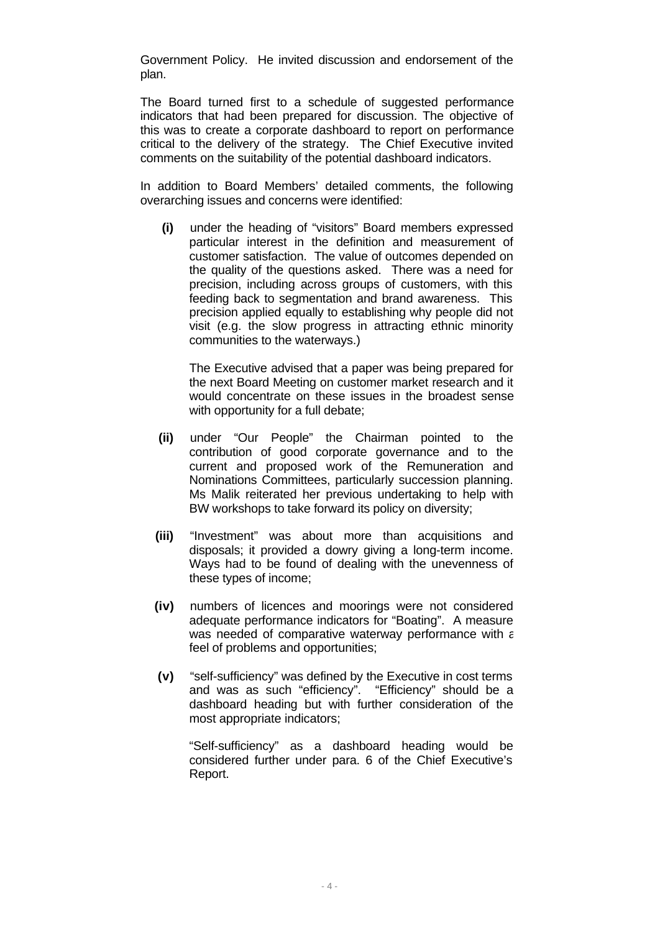Government Policy. He invited discussion and endorsement of the plan.

The Board turned first to a schedule of suggested performance indicators that had been prepared for discussion. The objective of this was to create a corporate dashboard to report on performance critical to the delivery of the strategy. The Chief Executive invited comments on the suitability of the potential dashboard indicators.

In addition to Board Members' detailed comments, the following overarching issues and concerns were identified:

**(i)** under the heading of "visitors" Board members expressed particular interest in the definition and measurement of customer satisfaction. The value of outcomes depended on the quality of the questions asked. There was a need for precision, including across groups of customers, with this feeding back to segmentation and brand awareness. This precision applied equally to establishing why people did not visit (e.g. the slow progress in attracting ethnic minority communities to the waterways.)

The Executive advised that a paper was being prepared for the next Board Meeting on customer market research and it would concentrate on these issues in the broadest sense with opportunity for a full debate;

- **(ii)** under "Our People" the Chairman pointed to the contribution of good corporate governance and to the current and proposed work of the Remuneration and Nominations Committees, particularly succession planning. Ms Malik reiterated her previous undertaking to help with BW workshops to take forward its policy on diversity;
- **(iii)** "Investment" was about more than acquisitions and disposals; it provided a dowry giving a long-term income. Ways had to be found of dealing with the unevenness of these types of income;
- **(iv)** numbers of licences and moorings were not considered adequate performance indicators for "Boating". A measure was needed of comparative waterway performance with  $\varepsilon$ feel of problems and opportunities;
- **(v)** "self-sufficiency" was defined by the Executive in cost terms and was as such "efficiency". "Efficiency" should be a dashboard heading but with further consideration of the most appropriate indicators;

"Self-sufficiency" as a dashboard heading would be considered further under para. 6 of the Chief Executive's Report.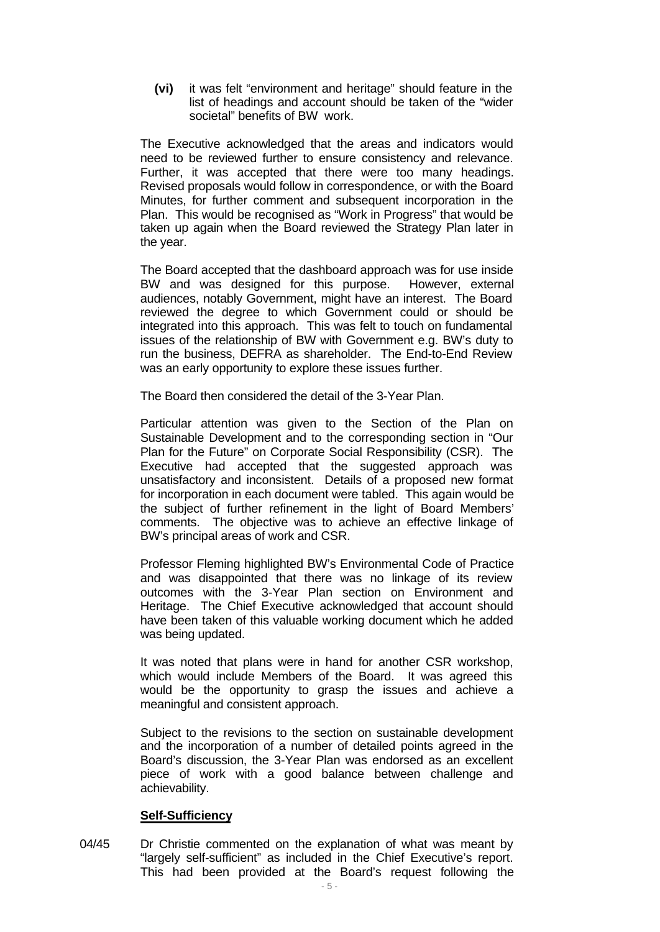**(vi)** it was felt "environment and heritage" should feature in the list of headings and account should be taken of the "wider societal" benefits of BW work.

The Executive acknowledged that the areas and indicators would need to be reviewed further to ensure consistency and relevance. Further, it was accepted that there were too many headings. Revised proposals would follow in correspondence, or with the Board Minutes, for further comment and subsequent incorporation in the Plan. This would be recognised as "Work in Progress" that would be taken up again when the Board reviewed the Strategy Plan later in the year.

The Board accepted that the dashboard approach was for use inside BW and was designed for this purpose. However, external audiences, notably Government, might have an interest. The Board reviewed the degree to which Government could or should be integrated into this approach. This was felt to touch on fundamental issues of the relationship of BW with Government e.g. BW's duty to run the business, DEFRA as shareholder. The End-to-End Review was an early opportunity to explore these issues further.

The Board then considered the detail of the 3-Year Plan.

Particular attention was given to the Section of the Plan on Sustainable Development and to the corresponding section in "Our Plan for the Future" on Corporate Social Responsibility (CSR). The Executive had accepted that the suggested approach was unsatisfactory and inconsistent. Details of a proposed new format for incorporation in each document were tabled. This again would be the subject of further refinement in the light of Board Members' comments. The objective was to achieve an effective linkage of BW's principal areas of work and CSR.

Professor Fleming highlighted BW's Environmental Code of Practice and was disappointed that there was no linkage of its review outcomes with the 3-Year Plan section on Environment and Heritage. The Chief Executive acknowledged that account should have been taken of this valuable working document which he added was being updated.

It was noted that plans were in hand for another CSR workshop, which would include Members of the Board. It was agreed this would be the opportunity to grasp the issues and achieve a meaningful and consistent approach.

Subject to the revisions to the section on sustainable development and the incorporation of a number of detailed points agreed in the Board's discussion, the 3-Year Plan was endorsed as an excellent piece of work with a good balance between challenge and achievability.

### **Self-Sufficiency**

04/45 Dr Christie commented on the explanation of what was meant by "largely self-sufficient" as included in the Chief Executive's report. This had been provided at the Board's request following the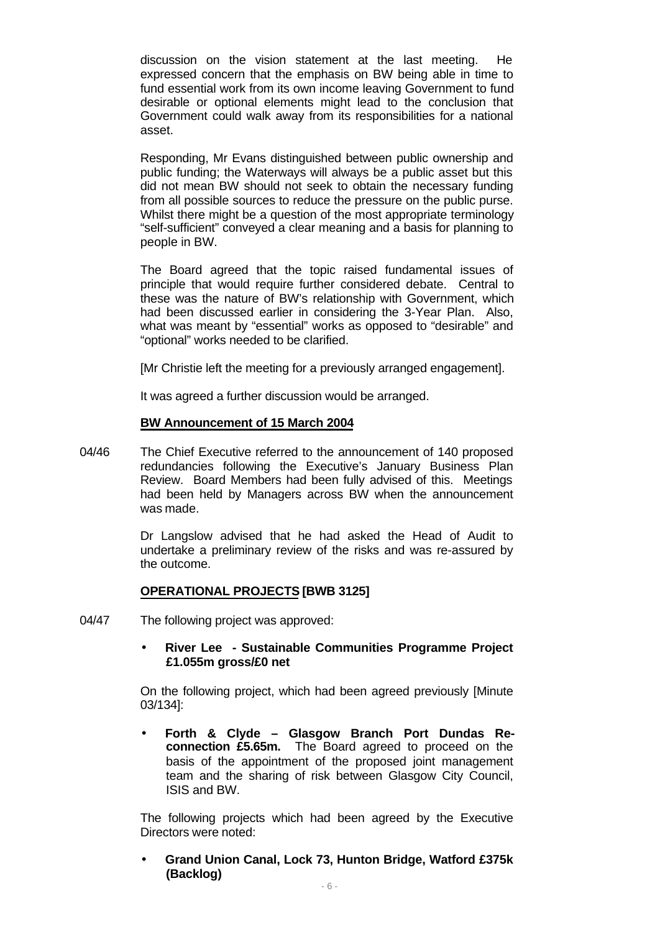discussion on the vision statement at the last meeting. He expressed concern that the emphasis on BW being able in time to fund essential work from its own income leaving Government to fund desirable or optional elements might lead to the conclusion that Government could walk away from its responsibilities for a national asset.

Responding, Mr Evans distinguished between public ownership and public funding; the Waterways will always be a public asset but this did not mean BW should not seek to obtain the necessary funding from all possible sources to reduce the pressure on the public purse. Whilst there might be a question of the most appropriate terminology "self-sufficient" conveyed a clear meaning and a basis for planning to people in BW.

The Board agreed that the topic raised fundamental issues of principle that would require further considered debate. Central to these was the nature of BW's relationship with Government, which had been discussed earlier in considering the 3-Year Plan. Also, what was meant by "essential" works as opposed to "desirable" and "optional" works needed to be clarified.

[Mr Christie left the meeting for a previously arranged engagement].

It was agreed a further discussion would be arranged.

### **BW Announcement of 15 March 2004**

04/46 The Chief Executive referred to the announcement of 140 proposed redundancies following the Executive's January Business Plan Review. Board Members had been fully advised of this. Meetings had been held by Managers across BW when the announcement was made.

> Dr Langslow advised that he had asked the Head of Audit to undertake a preliminary review of the risks and was re-assured by the outcome.

### **OPERATIONAL PROJECTS [BWB 3125]**

- 04/47 The following project was approved:
	- **· River Lee Sustainable Communities Programme Project £1.055m gross/£0 net**

On the following project, which had been agreed previously [Minute 03/134]:

**· Forth & Clyde – Glasgow Branch Port Dundas Reconnection £5.65m.** The Board agreed to proceed on the basis of the appointment of the proposed joint management team and the sharing of risk between Glasgow City Council, ISIS and BW.

The following projects which had been agreed by the Executive Directors were noted:

**· Grand Union Canal, Lock 73, Hunton Bridge, Watford £375k (Backlog)**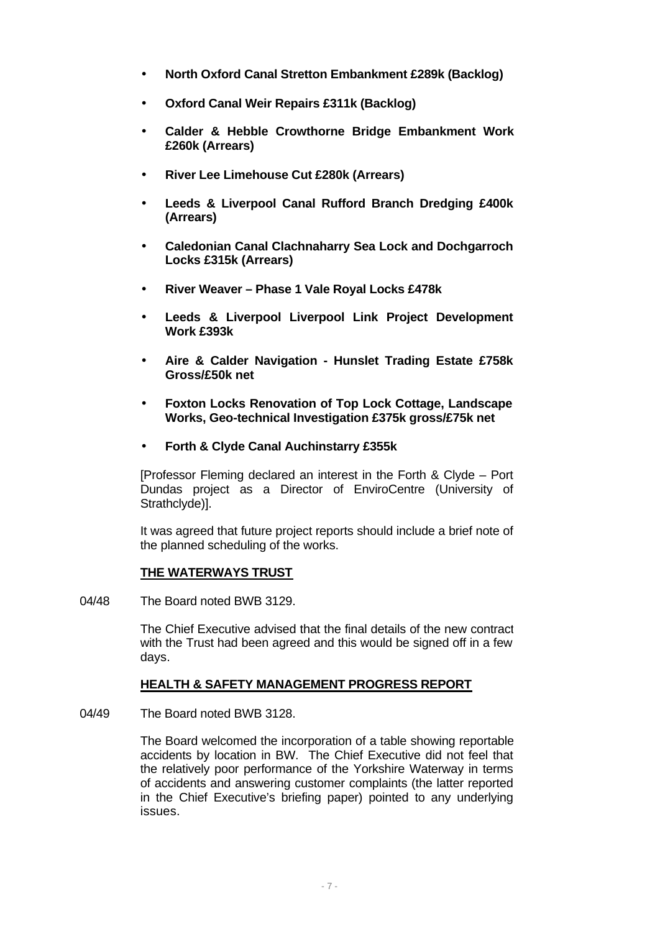- **· North Oxford Canal Stretton Embankment £289k (Backlog)**
- **· Oxford Canal Weir Repairs £311k (Backlog)**
- **· Calder & Hebble Crowthorne Bridge Embankment Work £260k (Arrears)**
- **· River Lee Limehouse Cut £280k (Arrears)**
- **· Leeds & Liverpool Canal Rufford Branch Dredging £400k (Arrears)**
- **· Caledonian Canal Clachnaharry Sea Lock and Dochgarroch Locks £315k (Arrears)**
- **· River Weaver Phase 1 Vale Royal Locks £478k**
- **· Leeds & Liverpool Liverpool Link Project Development Work £393k**
- **· Aire & Calder Navigation Hunslet Trading Estate £758k Gross/£50k net**
- **· Foxton Locks Renovation of Top Lock Cottage, Landscape Works, Geo-technical Investigation £375k gross/£75k net**
- **· Forth & Clyde Canal Auchinstarry £355k**

[Professor Fleming declared an interest in the Forth & Clyde – Port Dundas project as a Director of EnviroCentre (University of Strathclyde)].

It was agreed that future project reports should include a brief note of the planned scheduling of the works.

### **THE WATERWAYS TRUST**

04/48 The Board noted BWB 3129.

The Chief Executive advised that the final details of the new contract with the Trust had been agreed and this would be signed off in a few days.

## **HEALTH & SAFETY MANAGEMENT PROGRESS REPORT**

04/49 The Board noted BWB 3128.

The Board welcomed the incorporation of a table showing reportable accidents by location in BW. The Chief Executive did not feel that the relatively poor performance of the Yorkshire Waterway in terms of accidents and answering customer complaints (the latter reported in the Chief Executive's briefing paper) pointed to any underlying issues.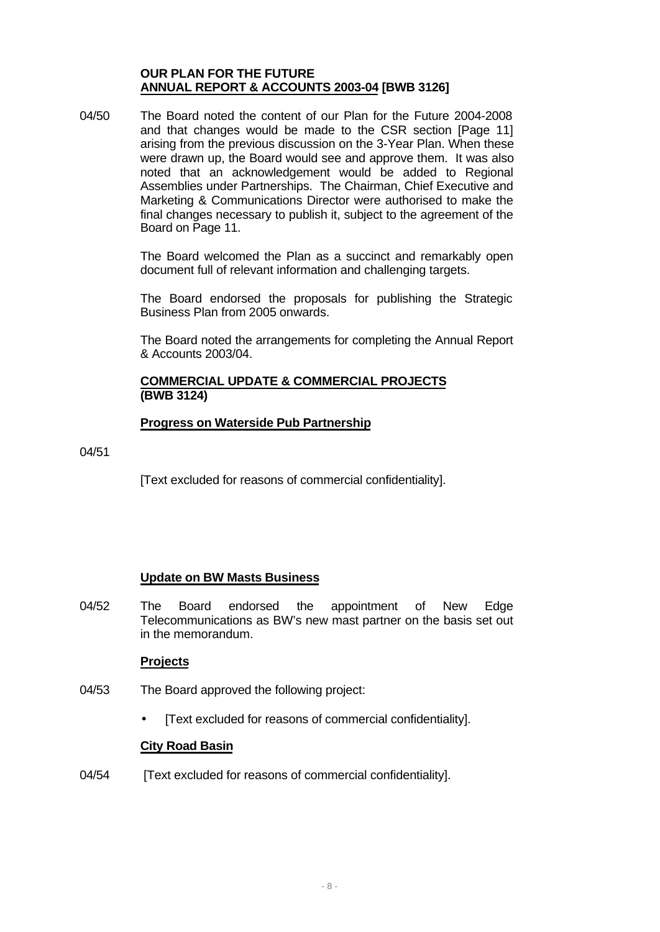### **OUR PLAN FOR THE FUTURE ANNUAL REPORT & ACCOUNTS 2003-04 [BWB 3126]**

04/50 The Board noted the content of our Plan for the Future 2004-2008 and that changes would be made to the CSR section [Page 11] arising from the previous discussion on the 3-Year Plan. When these were drawn up, the Board would see and approve them. It was also noted that an acknowledgement would be added to Regional Assemblies under Partnerships. The Chairman, Chief Executive and Marketing & Communications Director were authorised to make the final changes necessary to publish it, subject to the agreement of the Board on Page 11.

> The Board welcomed the Plan as a succinct and remarkably open document full of relevant information and challenging targets.

> The Board endorsed the proposals for publishing the Strategic Business Plan from 2005 onwards.

> The Board noted the arrangements for completing the Annual Report & Accounts 2003/04.

# **COMMERCIAL UPDATE & COMMERCIAL PROJECTS (BWB 3124)**

## **Progress on Waterside Pub Partnership**

04/51

[Text excluded for reasons of commercial confidentiality].

## **Update on BW Masts Business**

04/52 The Board endorsed the appointment of New Edge Telecommunications as BW's new mast partner on the basis set out in the memorandum.

### **Projects**

- 04/53 The Board approved the following project:
	- **·** [Text excluded for reasons of commercial confidentiality].

### **City Road Basin**

04/54 **[Text excluded for reasons of commercial confidentiality].**